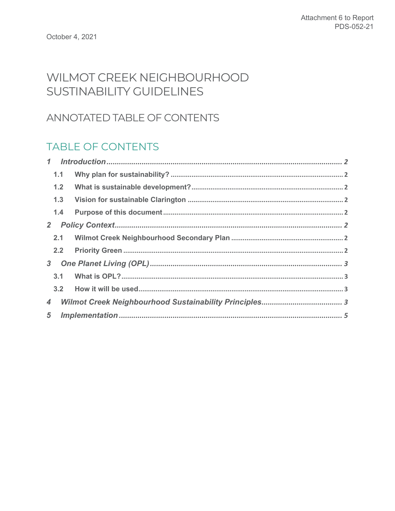# WILMOT CREEK NEIGHBOURHOOD SUSTINABILITY GUIDELINES

## ANNOTATED TABLE OF CONTENTS

## **TABLE OF CONTENTS**

|                 | 1.1 |  |  |  |  |
|-----------------|-----|--|--|--|--|
|                 | 1.2 |  |  |  |  |
|                 | 1.3 |  |  |  |  |
|                 | 1.4 |  |  |  |  |
| 2 <sup>2</sup>  |     |  |  |  |  |
|                 | 2.1 |  |  |  |  |
|                 | 2.2 |  |  |  |  |
| 3 <sup>1</sup>  |     |  |  |  |  |
|                 | 3.1 |  |  |  |  |
|                 | 3.2 |  |  |  |  |
| $\overline{4}$  |     |  |  |  |  |
| $5\overline{)}$ |     |  |  |  |  |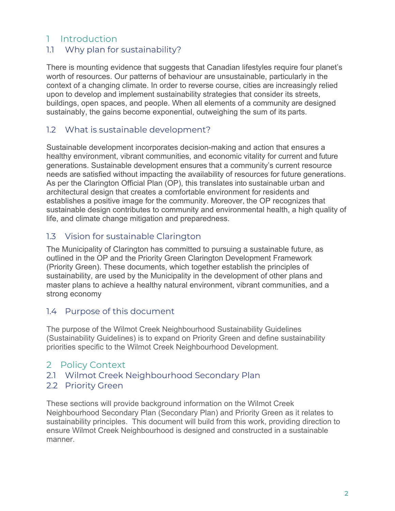## 1 Introduction

## 1.1 Why plan for sustainability?

 There is mounting evidence that suggests that Canadian lifestyles require four planet's worth of resources. Our patterns of behaviour are unsustainable, particularly in the context of a changing climate. In order to reverse course, cities are increasingly relied upon to develop and implement sustainability strategies that consider its streets, buildings, open spaces, and people. When all elements of a community are designed sustainably, the gains become exponential, outweighing the sum of its parts.

## 1.2 What is sustainable development?

 Sustainable development incorporates decision-making and action that ensures a healthy environment, vibrant communities, and economic vitality for current and future generations. Sustainable development ensures that a community's current resource needs are satisfied without impacting the availability of resources for future generations. As per the Clarington Official Plan (OP), this translates into sustainable urban and architectural design that creates a comfortable environment for residents and establishes a positive image for the community. Moreover, the OP recognizes that sustainable design contributes to community and environmental health, a high quality of life, and climate change mitigation and preparedness.

## 1.3 Vision for sustainable Clarington

 The Municipality of Clarington has committed to pursuing a sustainable future, as outlined in the OP and the Priority Green Clarington Development Framework (Priority Green). These documents, which together establish the principles of sustainability, are used by the Municipality in the development of other plans and master plans to achieve a healthy natural environment, vibrant communities, and a strong economy

## 1.4 Purpose of this document

 The purpose of the Wilmot Creek Neighbourhood Sustainability Guidelines (Sustainability Guidelines) is to expand on Priority Green and define sustainability priorities specific to the Wilmot Creek Neighbourhood Development.

## 2 Policy Context

2.1 Wilmot Creek Neighbourhood Secondary Plan

## 2.2 Priority Green

 These sections will provide background information on the Wilmot Creek Neighbourhood Secondary Plan (Secondary Plan) and Priority Green as it relates to sustainability principles. This document will build from this work, providing direction to ensure Wilmot Creek Neighbourhood is designed and constructed in a sustainable manner.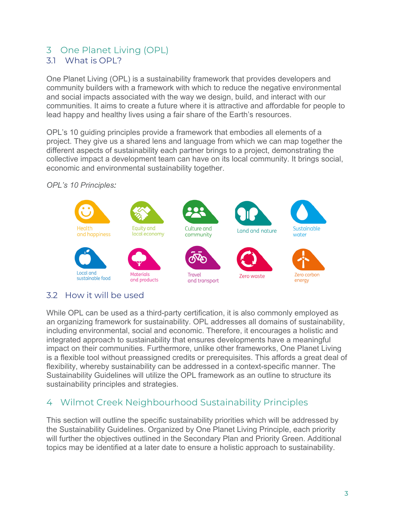# <span id="page-2-0"></span>3 One Planet Living (OPL)

## 3.1 What is OPL?

 One Planet Living (OPL) is a sustainability framework that provides developers and community builders with a framework with which to reduce the negative environmental and social impacts associated with the way we design, build, and interact with our communities. It aims to create a future where it is attractive and affordable for people to lead happy and healthy lives using a fair share of the Earth's resources.

 OPL's 10 guiding principles provide a framework that embodies all elements of a project. They give us a shared lens and language from which we can map together the different aspects of sustainability each partner brings to a project, demonstrating the collective impact a development team can have on its local community. It brings social, economic and environmental sustainability together.

## *OPL's 10 Principles:*



## 3.2 How it will be used

 While OPL can be used as a third-party certification, it is also commonly employed as an organizing framework for sustainability. OPL addresses all domains of sustainability, including environmental, social and economic. Therefore, it encourages a holistic and integrated approach to sustainability that ensures developments have a meaningful impact on their communities. Furthermore, unlike other frameworks, One Planet Living is a flexible tool without preassigned credits or prerequisites. This affords a great deal of flexibility, whereby sustainability can be addressed in a context-specific manner. The Sustainability Guidelines will utilize the OPL framework as an outline to structure its sustainability principles and strategies.

## 4 Wilmot Creek Neighbourhood Sustainability Principles

 This section will outline the specific sustainability priorities which will be addressed by the Sustainability Guidelines. Organized by One Planet Living Principle, each priority will further the objectives outlined in the Secondary Plan and Priority Green. Additional topics may be identified at a later date to ensure a holistic approach to sustainability.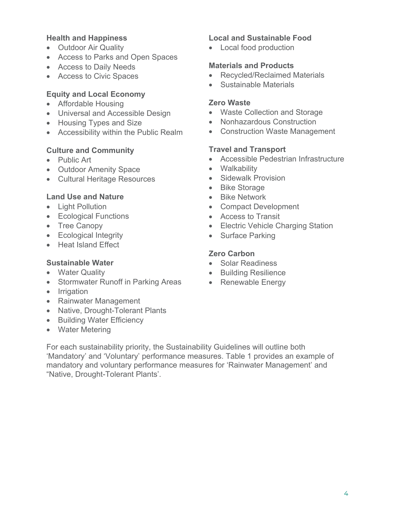- 
- Access to Parks and Open Spaces
- 
- 

### **Equity and Local Economy**

- Affordable Housing **Zero Waste**
- 
- 
- 

## **Culture and Community Culture and Transport**

- 
- Outdoor Amenity Space Walkability
- Cultural Heritage Resources Sidewalk Provision

#### **Land Use and Nature <b>•** Bike Network

- 
- Ecological Functions Access to Transit
- 
- Ecological Integrity  **Surface Parking**
- Heat Island Effect

### **Sustainable Water** • Solar Readiness

- 
- Stormwater Runoff in Parking Areas Renewable Energy
- Irrigation
- Rainwater Management
- Native, Drought-Tolerant Plants
- Building Water Efficiency
- Water Metering

#### **Health and Happiness Local and Sustainable Food**

• Outdoor Air Quality • Local food production

#### • Access to Daily Needs **Materials and Products**

- Access to Civic Spaces Recycled/Reclaimed Materials
	- Sustainable Materials

- Universal and Accessible Design Waste Collection and Storage
- Housing Types and Size **•** Nonhazardous Construction
- Accessibility within the Public Realm Construction Waste Management

- Public Art Consumers Accessible Pedestrian Infrastructure
	-
	-
	- Bike Storage
	-
- Light Pollution Compact Development
	-
- Tree Canopy  **Electric Vehicle Charging Station** 
	-

### **Zero Carbon**

- 
- Water Quality  **Building Resilience** 
	-

For each sustainability priority, the Sustainability Guidelines will outline both 'Mandatory' and 'Voluntary' performance measures. Table 1 provides an example of mandatory and voluntary performance measures for 'Rainwater Management' and "Native, Drought-Tolerant Plants'.